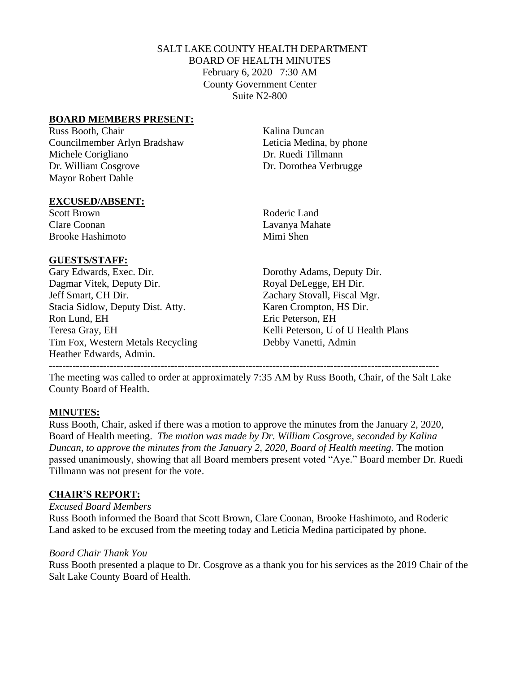## SALT LAKE COUNTY HEALTH DEPARTMENT BOARD OF HEALTH MINUTES February 6, 2020 7:30 AM County Government Center Suite N2-800

### **BOARD MEMBERS PRESENT:**

Russ Booth, Chair Kalina Duncan Councilmember Arlyn Bradshaw Leticia Medina, by phone Michele Corigliano Dr. Ruedi Tillmann Dr. William Cosgrove Dr. Dorothea Verbrugge Mayor Robert Dahle

### **EXCUSED/ABSENT:**

Scott Brown Roderic Land Clare Coonan Lavanya Mahate Brooke Hashimoto Mimi Shen

## **GUESTS/STAFF:**

Gary Edwards, Exec. Dir. Dorothy Adams, Deputy Dir. Dagmar Vitek, Deputy Dir. Royal DeLegge, EH Dir. Jeff Smart, CH Dir. Zachary Stovall, Fiscal Mgr. Stacia Sidlow, Deputy Dist. Atty. Karen Crompton, HS Dir. Ron Lund, EH Eric Peterson, EH Teresa Gray, EH Kelli Peterson, U of U Health Plans Tim Fox, Western Metals Recycling Debby Vanetti, Admin Heather Edwards, Admin.

The meeting was called to order at approximately 7:35 AM by Russ Booth, Chair, of the Salt Lake County Board of Health.

-------------------------------------------------------------------------------------------------------------------

## **MINUTES:**

Russ Booth, Chair, asked if there was a motion to approve the minutes from the January 2, 2020, Board of Health meeting. *The motion was made by Dr. William Cosgrove, seconded by Kalina Duncan, to approve the minutes from the January 2, 2020, Board of Health meeting. The motion* passed unanimously, showing that all Board members present voted "Aye." Board member Dr. Ruedi Tillmann was not present for the vote.

## **CHAIR'S REPORT:**

### *Excused Board Members*

Russ Booth informed the Board that Scott Brown, Clare Coonan, Brooke Hashimoto, and Roderic Land asked to be excused from the meeting today and Leticia Medina participated by phone.

## *Board Chair Thank You*

Russ Booth presented a plaque to Dr. Cosgrove as a thank you for his services as the 2019 Chair of the Salt Lake County Board of Health.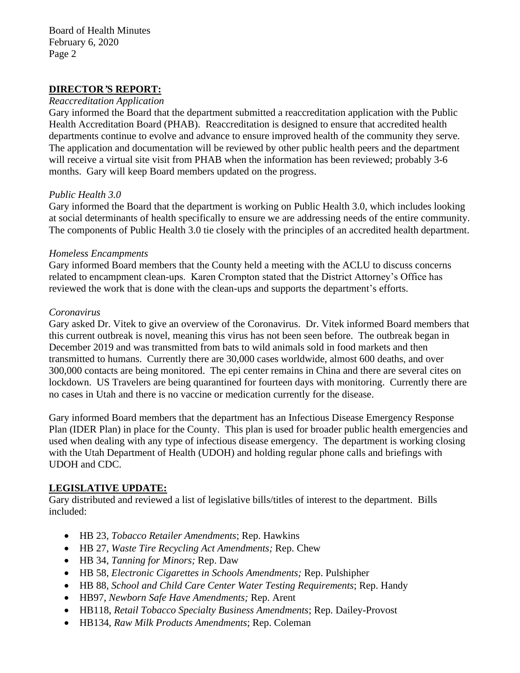### **DIRECTOR***'***S REPORT:**

#### *Reaccreditation Application*

Gary informed the Board that the department submitted a reaccreditation application with the Public Health Accreditation Board (PHAB). Reaccreditation is designed to ensure that accredited health departments continue to evolve and advance to ensure improved health of the community they serve. The application and documentation will be reviewed by other public health peers and the department will receive a virtual site visit from PHAB when the information has been reviewed; probably 3-6 months. Gary will keep Board members updated on the progress.

### *Public Health 3.0*

Gary informed the Board that the department is working on Public Health 3.0, which includes looking at social determinants of health specifically to ensure we are addressing needs of the entire community. The components of Public Health 3.0 tie closely with the principles of an accredited health department.

### *Homeless Encampments*

Gary informed Board members that the County held a meeting with the ACLU to discuss concerns related to encampment clean-ups. Karen Crompton stated that the District Attorney's Office has reviewed the work that is done with the clean-ups and supports the department's efforts.

#### *Coronavirus*

Gary asked Dr. Vitek to give an overview of the Coronavirus. Dr. Vitek informed Board members that this current outbreak is novel, meaning this virus has not been seen before. The outbreak began in December 2019 and was transmitted from bats to wild animals sold in food markets and then transmitted to humans. Currently there are 30,000 cases worldwide, almost 600 deaths, and over 300,000 contacts are being monitored. The epi center remains in China and there are several cites on lockdown. US Travelers are being quarantined for fourteen days with monitoring. Currently there are no cases in Utah and there is no vaccine or medication currently for the disease.

Gary informed Board members that the department has an Infectious Disease Emergency Response Plan (IDER Plan) in place for the County. This plan is used for broader public health emergencies and used when dealing with any type of infectious disease emergency. The department is working closing with the Utah Department of Health (UDOH) and holding regular phone calls and briefings with UDOH and CDC.

## **LEGISLATIVE UPDATE:**

Gary distributed and reviewed a list of legislative bills/titles of interest to the department. Bills included:

- HB 23, *Tobacco Retailer Amendments*; Rep. Hawkins
- HB 27, *Waste Tire Recycling Act Amendments;* Rep. Chew
- HB 34, *Tanning for Minors;* Rep. Daw
- HB 58, *Electronic Cigarettes in Schools Amendments;* Rep. Pulshipher
- HB 88, *School and Child Care Center Water Testing Requirements*; Rep. Handy
- HB97, *Newborn Safe Have Amendments;* Rep. Arent
- HB118, *Retail Tobacco Specialty Business Amendments*; Rep. Dailey-Provost
- HB134, *Raw Milk Products Amendments*; Rep. Coleman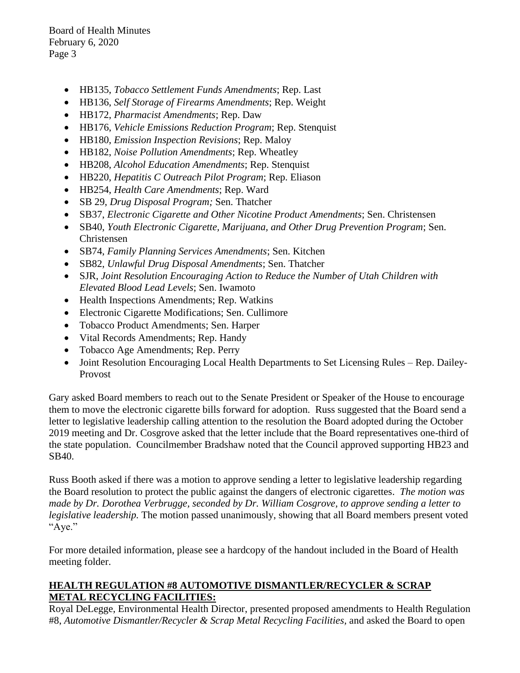Board of Health Minutes February 6, 2020 Page 3

- HB135, *Tobacco Settlement Funds Amendments*; Rep. Last
- HB136, *Self Storage of Firearms Amendments*; Rep. Weight
- HB172, *Pharmacist Amendments*; Rep. Daw
- HB176, *Vehicle Emissions Reduction Program*; Rep. Stenquist
- HB180, *Emission Inspection Revisions*; Rep. Maloy
- HB182, *Noise Pollution Amendments*; Rep. Wheatley
- HB208, *Alcohol Education Amendments*; Rep. Stenquist
- HB220, *Hepatitis C Outreach Pilot Program*; Rep. Eliason
- HB254, *Health Care Amendments*; Rep. Ward
- SB 29, *Drug Disposal Program;* Sen. Thatcher
- SB37, *Electronic Cigarette and Other Nicotine Product Amendments*; Sen. Christensen
- SB40, *Youth Electronic Cigarette, Marijuana, and Other Drug Prevention Program*; Sen. Christensen
- SB74, *Family Planning Services Amendments*; Sen. Kitchen
- SB82, *Unlawful Drug Disposal Amendments*; Sen. Thatcher
- SJR, *Joint Resolution Encouraging Action to Reduce the Number of Utah Children with Elevated Blood Lead Levels*; Sen. Iwamoto
- Health Inspections Amendments; Rep. Watkins
- Electronic Cigarette Modifications; Sen. Cullimore
- Tobacco Product Amendments; Sen. Harper
- Vital Records Amendments; Rep. Handy
- Tobacco Age Amendments; Rep. Perry
- Joint Resolution Encouraging Local Health Departments to Set Licensing Rules Rep. Dailey-Provost

Gary asked Board members to reach out to the Senate President or Speaker of the House to encourage them to move the electronic cigarette bills forward for adoption. Russ suggested that the Board send a letter to legislative leadership calling attention to the resolution the Board adopted during the October 2019 meeting and Dr. Cosgrove asked that the letter include that the Board representatives one-third of the state population. Councilmember Bradshaw noted that the Council approved supporting HB23 and SB40.

Russ Booth asked if there was a motion to approve sending a letter to legislative leadership regarding the Board resolution to protect the public against the dangers of electronic cigarettes. *The motion was made by Dr. Dorothea Verbrugge, seconded by Dr. William Cosgrove, to approve sending a letter to legislative leadership.* The motion passed unanimously, showing that all Board members present voted "Aye."

For more detailed information, please see a hardcopy of the handout included in the Board of Health meeting folder.

## **HEALTH REGULATION #8 AUTOMOTIVE DISMANTLER/RECYCLER & SCRAP METAL RECYCLING FACILITIES:**

Royal DeLegge, Environmental Health Director, presented proposed amendments to Health Regulation #8, *Automotive Dismantler/Recycler & Scrap Metal Recycling Facilities,* and asked the Board to open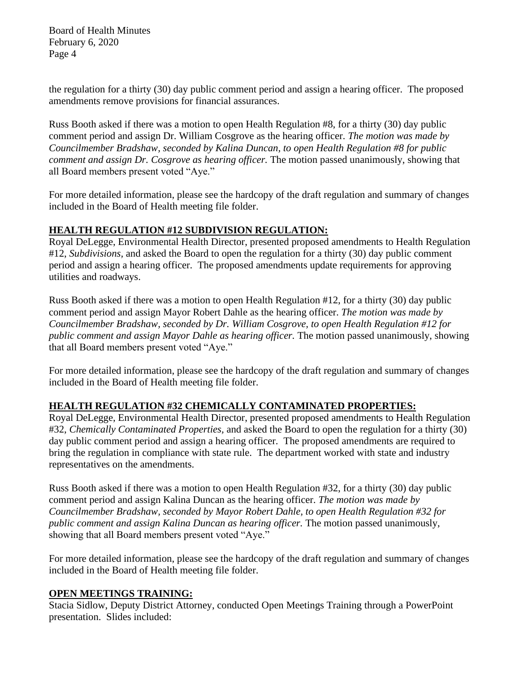Board of Health Minutes February 6, 2020 Page 4

the regulation for a thirty (30) day public comment period and assign a hearing officer. The proposed amendments remove provisions for financial assurances.

Russ Booth asked if there was a motion to open Health Regulation #8, for a thirty (30) day public comment period and assign Dr. William Cosgrove as the hearing officer. *The motion was made by Councilmember Bradshaw, seconded by Kalina Duncan, to open Health Regulation #8 for public comment and assign Dr. Cosgrove as hearing officer.* The motion passed unanimously, showing that all Board members present voted "Aye."

For more detailed information, please see the hardcopy of the draft regulation and summary of changes included in the Board of Health meeting file folder.

## **HEALTH REGULATION #12 SUBDIVISION REGULATION:**

Royal DeLegge, Environmental Health Director, presented proposed amendments to Health Regulation #12, *Subdivisions,* and asked the Board to open the regulation for a thirty (30) day public comment period and assign a hearing officer. The proposed amendments update requirements for approving utilities and roadways.

Russ Booth asked if there was a motion to open Health Regulation #12, for a thirty (30) day public comment period and assign Mayor Robert Dahle as the hearing officer. *The motion was made by Councilmember Bradshaw, seconded by Dr. William Cosgrove, to open Health Regulation #12 for public comment and assign Mayor Dahle as hearing officer.* The motion passed unanimously, showing that all Board members present voted "Aye."

For more detailed information, please see the hardcopy of the draft regulation and summary of changes included in the Board of Health meeting file folder.

# **HEALTH REGULATION #32 CHEMICALLY CONTAMINATED PROPERTIES:**

Royal DeLegge, Environmental Health Director, presented proposed amendments to Health Regulation #32, *Chemically Contaminated Properties,* and asked the Board to open the regulation for a thirty (30) day public comment period and assign a hearing officer. The proposed amendments are required to bring the regulation in compliance with state rule. The department worked with state and industry representatives on the amendments.

Russ Booth asked if there was a motion to open Health Regulation #32, for a thirty (30) day public comment period and assign Kalina Duncan as the hearing officer. *The motion was made by Councilmember Bradshaw, seconded by Mayor Robert Dahle, to open Health Regulation #32 for public comment and assign Kalina Duncan as hearing officer.* The motion passed unanimously, showing that all Board members present voted "Aye."

For more detailed information, please see the hardcopy of the draft regulation and summary of changes included in the Board of Health meeting file folder.

## **OPEN MEETINGS TRAINING:**

Stacia Sidlow, Deputy District Attorney, conducted Open Meetings Training through a PowerPoint presentation. Slides included: